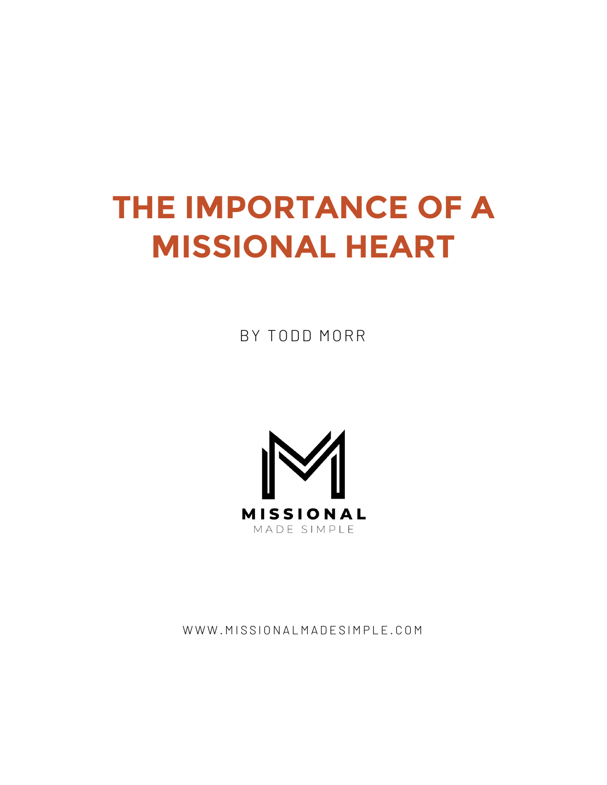# **THE IMPORTANCE OF A MISSIONAL HEART**

BY TODD MORR



WWW.MISSIONALMADESIMPLE.COM